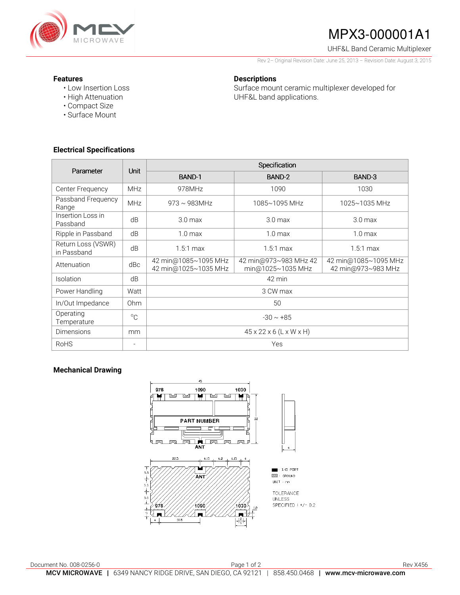

# MPX3-000001A1

UHF&L Band Ceramic Multiplexer

Rev 2– Original Revision Date: June 25, 2013 – Revision Date: August 3, 2015

### **Features**

- Low Insertion Loss
- High Attenuation
- Compact Size
- Surface Mount

## **Electrical Specifications**

| <b>Descriptions</b> |  |  |
|---------------------|--|--|
|                     |  |  |

Surface mount ceramic multiplexer developed for UHF&L band applications.

| Parameter                         | Unit           | Specification                                |                                            |                                            |  |  |
|-----------------------------------|----------------|----------------------------------------------|--------------------------------------------|--------------------------------------------|--|--|
|                                   |                | BAND-1                                       | BAND-2                                     | BAND-3                                     |  |  |
| Center Frequency                  | <b>MHz</b>     | 978MHz                                       | 1090                                       | 1030                                       |  |  |
| Passband Frequency<br>Range       | <b>MHz</b>     | $973 \sim 983$ MHz                           | 1085~1095 MHz                              | 1025~1035 MHz                              |  |  |
| Insertion Loss in<br>Passband     | dB             | 3.0 <sub>max</sub>                           | 3.0 <sub>max</sub>                         | 3.0 <sub>max</sub>                         |  |  |
| Ripple in Passband                | dB             | 1.0 <sub>max</sub>                           | 1.0 <sub>max</sub>                         | 1.0 <sub>max</sub>                         |  |  |
| Return Loss (VSWR)<br>in Passband | dB             | $1.5:1$ max                                  | $1.5:1$ max                                | $1.5:1$ max                                |  |  |
| Attenuation                       | dBc            | 42 min@1085~1095 MHz<br>42 min@1025~1035 MHz | 42 min@973~983 MHz 42<br>min@1025~1035 MHz | 42 min@1085~1095 MHz<br>42 min@973~983 MHz |  |  |
| Isolation                         | dB             | 42 min                                       |                                            |                                            |  |  |
| Power Handling                    | Watt           | 3 CW max                                     |                                            |                                            |  |  |
| In/Out Impedance                  | 0hm            | 50                                           |                                            |                                            |  |  |
| Operating<br>Temperature          | $^{\circ}C$    | $-30 \sim +85$                               |                                            |                                            |  |  |
| <b>Dimensions</b>                 | mm             | $45 \times 22 \times 6$ (L x W x H)          |                                            |                                            |  |  |
| <b>RoHS</b>                       | $\overline{a}$ | Yes                                          |                                            |                                            |  |  |

## **Mechanical Drawing**